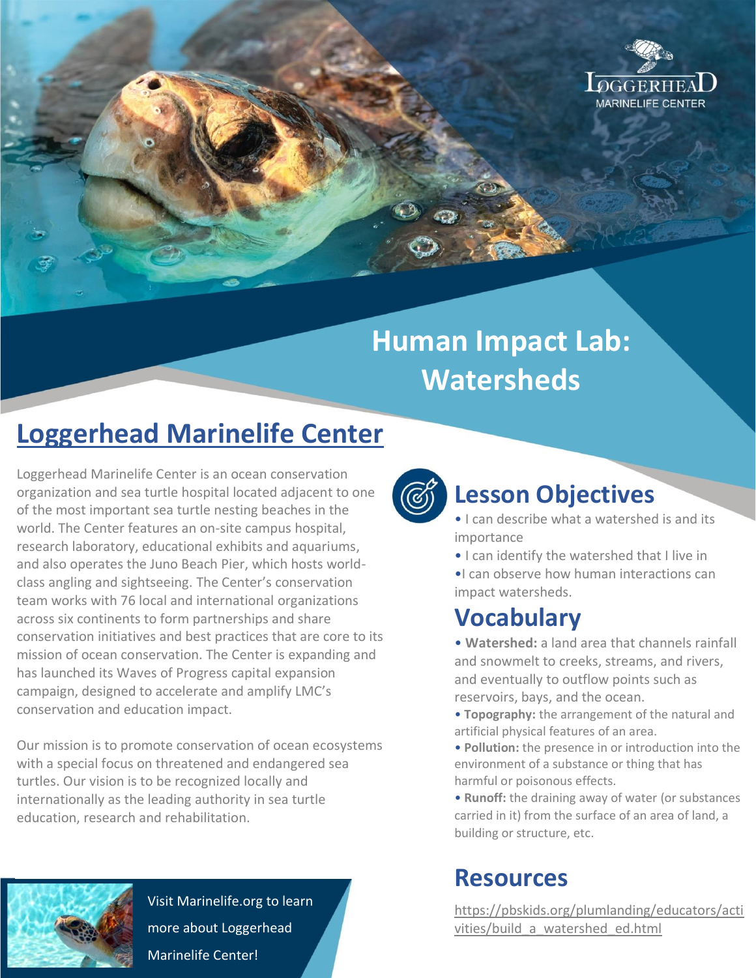

# **Human Impact Lab: Watersheds**

## **Loggerhead Marinelife Center**

Loggerhead Marinelife Center is an ocean conservation organization and sea turtle hospital located adjacent to one of the most important sea turtle nesting beaches in the world. The Center features an on-site campus hospital, research laboratory, educational exhibits and aquariums, and also operates the Juno Beach Pier, which hosts worldclass angling and sightseeing. The Center's conservation team works with 76 local and international organizations across six continents to form partnerships and share conservation initiatives and best practices that are core to its mission of ocean conservation. The Center is expanding and has launched its Waves of Progress capital expansion campaign, designed to accelerate and amplify LMC's conservation and education impact.

Our mission is to promote conservation of ocean ecosystems with a special focus on threatened and endangered sea turtles. Our vision is to be recognized locally and internationally as the leading authority in sea turtle education, research and rehabilitation.



Visit Marinelife.org to learn more about Loggerhead Marinelife Center!



#### **Lesson Objectives**

- I can describe what a watershed is and its importance
- I can identify the watershed that I live in
- •I can observe how human interactions can impact watersheds.

### **Vocabulary**

- **Watershed:** a land area that channels rainfall and snowmelt to creeks, streams, and rivers, and eventually to outflow points such as reservoirs, bays, and the ocean.
- **Topography:** the arrangement of the natural and artificial physical features of an area.
- **Pollution:** the presence in or introduction into the environment of a substance or thing that has harmful or poisonous effects.
- **Runoff:** the draining away of water (or substances carried in it) from the surface of an area of land, a building or structure, etc.

### **Resources**

[https://pbskids.org/plumlanding/educators/acti](https://pbskids.org/plumlanding/educators/activities/build_a_watershed_ed.html) [vities/build\\_a\\_watershed\\_ed.html](https://pbskids.org/plumlanding/educators/activities/build_a_watershed_ed.html)